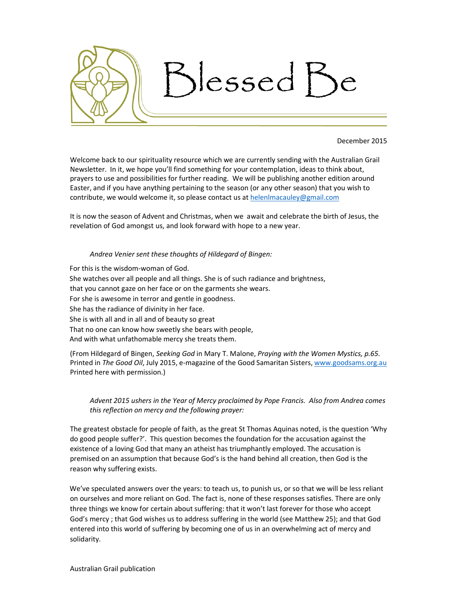

#### December 2015

Welcome back to our spirituality resource which we are currently sending with the Australian Grail Newsletter. In it, we hope you'll find something for your contemplation, ideas to think about, prayers to use and possibilities for further reading. We will be publishing another edition around Easter, and if you have anything pertaining to the season (or any other season) that you wish to contribute, we would welcome it, so please contact us at helenlmacauley@gmail.com

It is now the season of Advent and Christmas, when we await and celebrate the birth of Jesus, the revelation of God amongst us, and look forward with hope to a new year.

# *Andrea Venier sent these thoughts of Hildegard of Bingen:*

For this is the wisdom-woman of God. She watches over all people and all things. She is of such radiance and brightness, that you cannot gaze on her face or on the garments she wears. For she is awesome in terror and gentle in goodness. She has the radiance of divinity in her face. She is with all and in all and of beauty so great That no one can know how sweetly she bears with people, And with what unfathomable mercy she treats them.

(From Hildegard of Bingen, *Seeking God* in Mary T. Malone, *Praying with the Women Mystics, p.65.* Printed in *The Good Oil*, July 2015, e-magazine of the Good Samaritan Sisters, www.goodsams.org.au Printed here with permission.)

# *Advent 2015 ushers in the Year of Mercy proclaimed by Pope Francis. Also from Andrea comes this reflection on mercy and the following prayer:*

The greatest obstacle for people of faith, as the great St Thomas Aquinas noted, is the question 'Why do good people suffer?'. This question becomes the foundation for the accusation against the existence of a loving God that many an atheist has triumphantly employed. The accusation is premised on an assumption that because God's is the hand behind all creation, then God is the reason why suffering exists.

We've speculated answers over the years: to teach us, to punish us, or so that we will be less reliant on ourselves and more reliant on God. The fact is, none of these responses satisfies. There are only three things we know for certain about suffering: that it won't last forever for those who accept God's mercy ; that God wishes us to address suffering in the world (see Matthew 25); and that God entered into this world of suffering by becoming one of us in an overwhelming act of mercy and solidarity.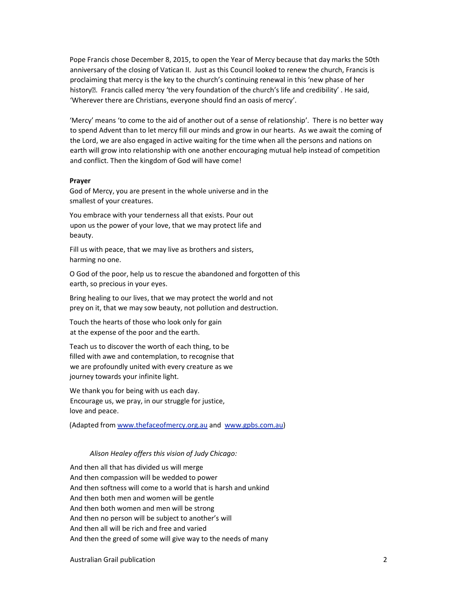Pope Francis chose December 8, 2015, to open the Year of Mercy because that day marks the 50th anniversary of the closing of Vatican II. Just as this Council looked to renew the church, Francis is proclaiming that mercy is the key to the church's continuing renewal in this 'new phase of her history<sup>[2]</sup>. Francis called mercy 'the very foundation of the church's life and credibility'. He said, 'Wherever there are Christians, everyone should find an oasis of mercy'.

'Mercy' means 'to come to the aid of another out of a sense of relationship'. There is no better way to spend Advent than to let mercy fill our minds and grow in our hearts. As we await the coming of the Lord, we are also engaged in active waiting for the time when all the persons and nations on earth will grow into relationship with one another encouraging mutual help instead of competition and conflict. Then the kingdom of God will have come!

#### **Prayer**

God of Mercy, you are present in the whole universe and in the smallest of your creatures.

You embrace with your tenderness all that exists. Pour out upon us the power of your love, that we may protect life and beauty.

Fill us with peace, that we may live as brothers and sisters, harming no one.

O God of the poor, help us to rescue the abandoned and forgotten of this earth, so precious in your eyes.

Bring healing to our lives, that we may protect the world and not prey on it, that we may sow beauty, not pollution and destruction.

Touch the hearts of those who look only for gain at the expense of the poor and the earth.

Teach us to discover the worth of each thing, to be filled with awe and contemplation, to recognise that we are profoundly united with every creature as we journey towards your infinite light.

We thank you for being with us each day. Encourage us, we pray, in our struggle for justice, love and peace.

(Adapted from www.thefaceofmercy.org.au and www.gpbs.com.au)

## *Alison Healey offers this vision of Judy Chicago:*

And then all that has divided us will merge And then compassion will be wedded to power And then softness will come to a world that is harsh and unkind And then both men and women will be gentle And then both women and men will be strong And then no person will be subject to another's will And then all will be rich and free and varied And then the greed of some will give way to the needs of many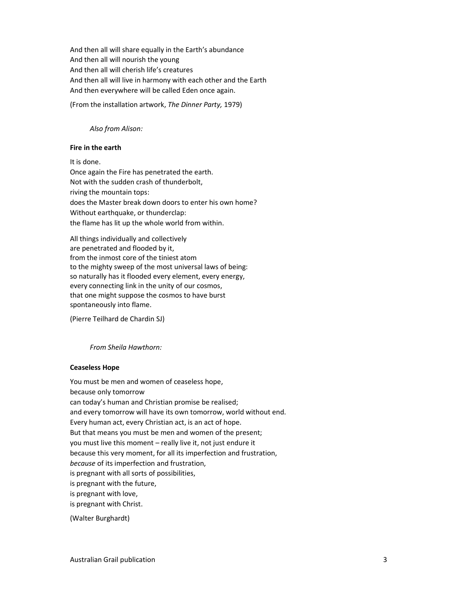And then all will share equally in the Earth's abundance And then all will nourish the young And then all will cherish life's creatures And then all will live in harmony with each other and the Earth And then everywhere will be called Eden once again.

(From the installation artwork, *The Dinner Party,* 1979)

### *Also from Alison:*

### **Fire in the earth**

It is done. Once again the Fire has penetrated the earth. Not with the sudden crash of thunderbolt, riving the mountain tops: does the Master break down doors to enter his own home? Without earthquake, or thunderclap: the flame has lit up the whole world from within.

All things individually and collectively are penetrated and flooded by it, from the inmost core of the tiniest atom to the mighty sweep of the most universal laws of being: so naturally has it flooded every element, every energy, every connecting link in the unity of our cosmos, that one might suppose the cosmos to have burst spontaneously into flame.

(Pierre Teilhard de Chardin SJ)

*From Sheila Hawthorn:* 

#### **Ceaseless Hope**

You must be men and women of ceaseless hope, because only tomorrow can today's human and Christian promise be realised; and every tomorrow will have its own tomorrow, world without end. Every human act, every Christian act, is an act of hope. But that means you must be men and women of the present; you must live this moment – really live it, not just endure it because this very moment, for all its imperfection and frustration, *because* of its imperfection and frustration, is pregnant with all sorts of possibilities, is pregnant with the future, is pregnant with love, is pregnant with Christ.

(Walter Burghardt)